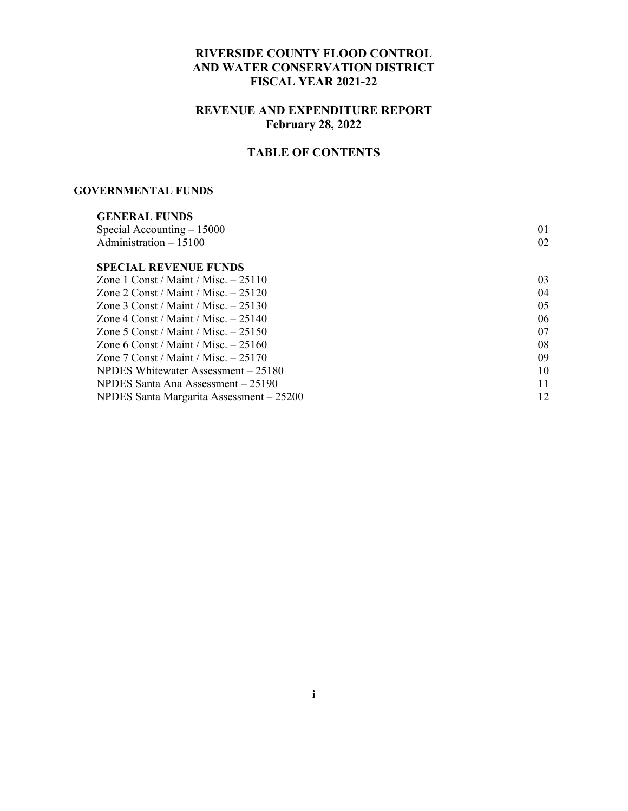### **RIVERSIDE COUNTY FLOOD CONTROL AND WATER CONSERVATION DISTRICT FISCAL YEAR 2021-22**

### **REVENUE AND EXPENDITURE REPORT February 28, 2022**

### **TABLE OF CONTENTS**

#### **GOVERNMENTAL FUNDS**

| 01 |
|----|
| 02 |
|    |
| 03 |
| 04 |
| 05 |
| 06 |
| 07 |
| 08 |
| 09 |
| 10 |
| 11 |
| 12 |
|    |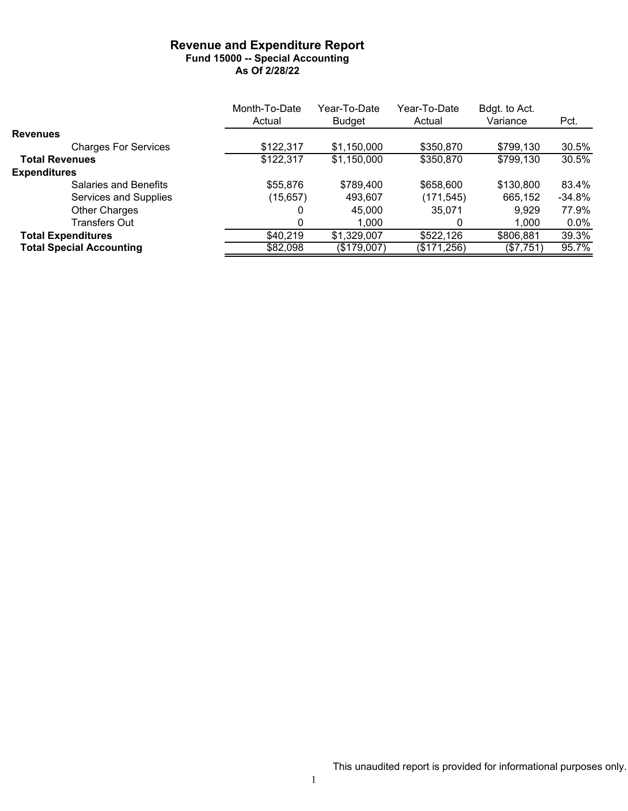#### **Revenue and Expenditure Report Fund 15000 -- Special Accounting As Of 2/28/22**

|                                 | Month-To-Date | Year-To-Date  | Year-To-Date | Bdgt. to Act. |          |
|---------------------------------|---------------|---------------|--------------|---------------|----------|
|                                 | Actual        | <b>Budget</b> | Actual       | Variance      | Pct.     |
| <b>Revenues</b>                 |               |               |              |               |          |
| <b>Charges For Services</b>     | \$122,317     | \$1,150,000   | \$350,870    | \$799,130     | 30.5%    |
| <b>Total Revenues</b>           | \$122,317     | \$1,150,000   | \$350,870    | \$799,130     | 30.5%    |
| <b>Expenditures</b>             |               |               |              |               |          |
| Salaries and Benefits           | \$55,876      | \$789,400     | \$658,600    | \$130,800     | 83.4%    |
| Services and Supplies           | (15, 657)     | 493,607       | (171,545)    | 665,152       | $-34.8%$ |
| <b>Other Charges</b>            |               | 45.000        | 35,071       | 9,929         | 77.9%    |
| Transfers Out                   | 0             | 1,000         | 0            | 1.000         | $0.0\%$  |
| <b>Total Expenditures</b>       | \$40,219      | \$1,329,007   | \$522,126    | \$806,881     | 39.3%    |
| <b>Total Special Accounting</b> | \$82,098      | (\$179,007)   | (\$171,256)  | (\$7,751)     | 95.7%    |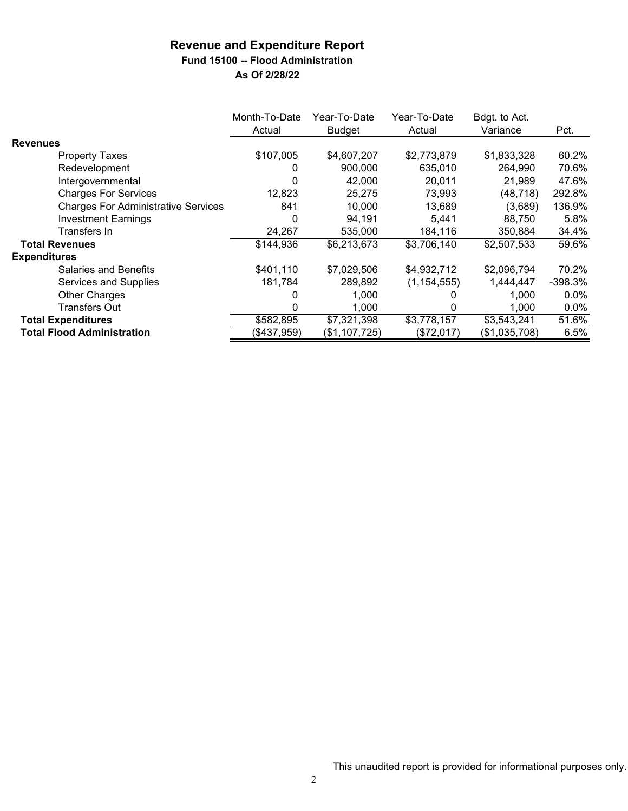### **Revenue and Expenditure Report Fund 15100 -- Flood Administration**

|                                            | Month-To-Date<br>Actual | Year-To-Date<br><b>Budget</b> | Year-To-Date<br>Actual | Bdgt. to Act.<br>Variance | Pct.      |
|--------------------------------------------|-------------------------|-------------------------------|------------------------|---------------------------|-----------|
| <b>Revenues</b>                            |                         |                               |                        |                           |           |
| <b>Property Taxes</b>                      | \$107,005               | \$4,607,207                   | \$2,773,879            | \$1,833,328               | 60.2%     |
| Redevelopment                              | 0                       | 900,000                       | 635,010                | 264,990                   | 70.6%     |
| Intergovernmental                          | 0                       | 42,000                        | 20,011                 | 21,989                    | 47.6%     |
| <b>Charges For Services</b>                | 12,823                  | 25,275                        | 73,993                 | (48, 718)                 | 292.8%    |
| <b>Charges For Administrative Services</b> | 841                     | 10,000                        | 13,689                 | (3,689)                   | 136.9%    |
| <b>Investment Earnings</b>                 | 0                       | 94,191                        | 5,441                  | 88.750                    | 5.8%      |
| Transfers In                               | 24,267                  | 535,000                       | 184,116                | 350,884                   | 34.4%     |
| <b>Total Revenues</b>                      | \$144,936               | \$6,213,673                   | \$3,706,140            | \$2,507,533               | 59.6%     |
| <b>Expenditures</b>                        |                         |                               |                        |                           |           |
| <b>Salaries and Benefits</b>               | \$401,110               | \$7,029,506                   | \$4,932,712            | \$2,096,794               | 70.2%     |
| Services and Supplies                      | 181,784                 | 289,892                       | (1, 154, 555)          | 1,444,447                 | $-398.3%$ |
| <b>Other Charges</b>                       | 0                       | 1,000                         |                        | 1.000                     | $0.0\%$   |
| Transfers Out                              | 0                       | 1,000                         |                        | 1,000                     | $0.0\%$   |
| <b>Total Expenditures</b>                  | \$582,895               | \$7,321,398                   | \$3,778,157            | \$3,543,241               | 51.6%     |
| <b>Total Flood Administration</b>          | ( \$437, 959)           | (\$1,107,725)                 | (\$72,017)             | (\$1,035,708)             | 6.5%      |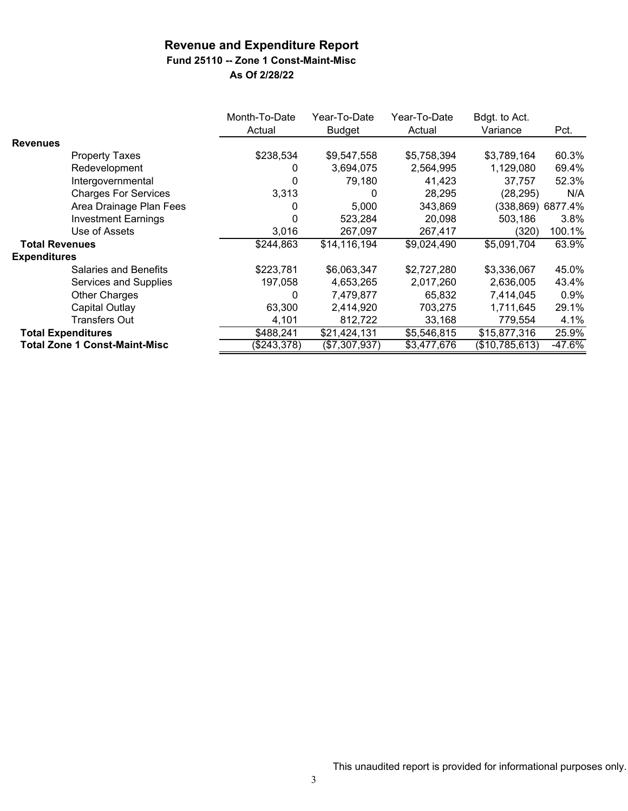### **Fund 25110 -- Zone 1 Const-Maint-Misc**

|                       |                                      | Month-To-Date<br>Actual | Year-To-Date<br><b>Budget</b> | Year-To-Date<br>Actual | Bdgt. to Act.<br>Variance | Pct.              |
|-----------------------|--------------------------------------|-------------------------|-------------------------------|------------------------|---------------------------|-------------------|
| <b>Revenues</b>       |                                      |                         |                               |                        |                           |                   |
|                       | <b>Property Taxes</b>                | \$238,534               | \$9,547,558                   | \$5,758,394            | \$3,789,164               | 60.3%             |
|                       | Redevelopment                        | 0                       | 3,694,075                     | 2,564,995              | 1,129,080                 | 69.4%             |
|                       | Intergovernmental                    | 0                       | 79,180                        | 41,423                 | 37,757                    | 52.3%             |
|                       | <b>Charges For Services</b>          | 3,313                   | 0                             | 28,295                 | (28, 295)                 | N/A               |
|                       | Area Drainage Plan Fees              |                         | 5,000                         | 343,869                |                           | (338,869) 6877.4% |
|                       | <b>Investment Earnings</b>           |                         | 523,284                       | 20,098                 | 503,186                   | 3.8%              |
|                       | Use of Assets                        | 3,016                   | 267,097                       | 267,417                | (320)                     | 100.1%            |
| <b>Total Revenues</b> |                                      | \$244,863               | \$14,116,194                  | \$9,024,490            | \$5,091,704               | 63.9%             |
| <b>Expenditures</b>   |                                      |                         |                               |                        |                           |                   |
|                       | <b>Salaries and Benefits</b>         | \$223,781               | \$6,063,347                   | \$2,727,280            | \$3,336,067               | 45.0%             |
|                       | Services and Supplies                | 197,058                 | 4,653,265                     | 2,017,260              | 2,636,005                 | 43.4%             |
|                       | Other Charges                        | 0                       | 7,479,877                     | 65,832                 | 7,414,045                 | 0.9%              |
|                       | <b>Capital Outlay</b>                | 63,300                  | 2,414,920                     | 703,275                | 1,711,645                 | 29.1%             |
|                       | Transfers Out                        | 4,101                   | 812,722                       | 33,168                 | 779,554                   | 4.1%              |
|                       | <b>Total Expenditures</b>            | \$488,241               | \$21,424,131                  | \$5,546,815            | \$15,877,316              | 25.9%             |
|                       | <b>Total Zone 1 Const-Maint-Misc</b> | (\$243,378)             | (\$7,307,937)                 | \$3,477,676            | $\sqrt{($10,785,613)}$    | $-47.6%$          |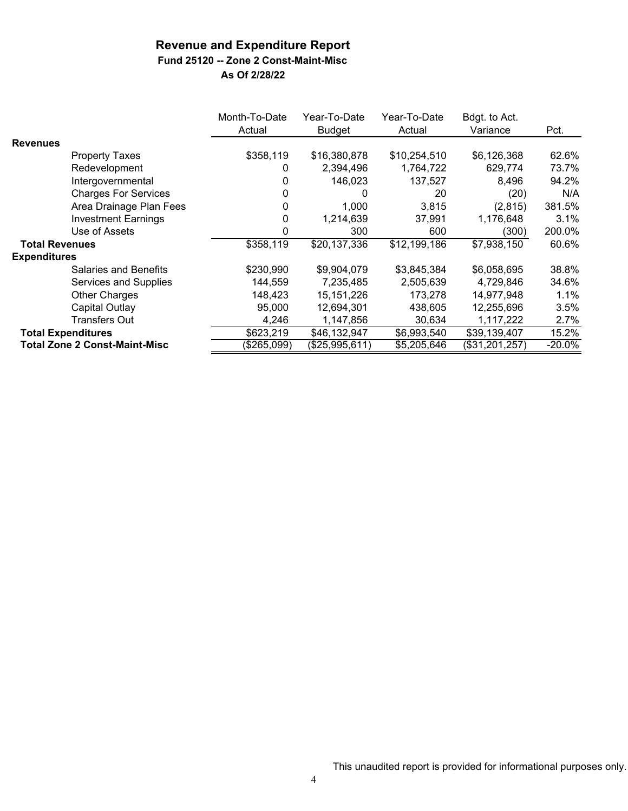# **Fund 25120 -- Zone 2 Const-Maint-Misc**

|                       |                                      | Month-To-Date<br>Actual | Year-To-Date<br>Budget | Year-To-Date<br>Actual | Bdgt. to Act.<br>Variance | Pct.      |
|-----------------------|--------------------------------------|-------------------------|------------------------|------------------------|---------------------------|-----------|
| <b>Revenues</b>       |                                      |                         |                        |                        |                           |           |
|                       | <b>Property Taxes</b>                | \$358,119               | \$16,380,878           | \$10,254,510           | \$6,126,368               | 62.6%     |
|                       | Redevelopment                        | 0                       | 2,394,496              | 1,764,722              | 629,774                   | 73.7%     |
|                       | Intergovernmental                    | 0                       | 146,023                | 137,527                | 8,496                     | 94.2%     |
|                       | <b>Charges For Services</b>          | 0                       | 0                      | 20                     | (20)                      | N/A       |
|                       | Area Drainage Plan Fees              | 0                       | 1,000                  | 3,815                  | (2,815)                   | 381.5%    |
|                       | <b>Investment Earnings</b>           | 0                       | 1,214,639              | 37,991                 | 1,176,648                 | 3.1%      |
|                       | Use of Assets                        | 0                       | 300                    | 600                    | (300)                     | 200.0%    |
| <b>Total Revenues</b> |                                      | \$358,119               | \$20,137,336           | \$12,199,186           | \$7,938,150               | 60.6%     |
| <b>Expenditures</b>   |                                      |                         |                        |                        |                           |           |
|                       | Salaries and Benefits                | \$230,990               | \$9,904,079            | \$3,845,384            | \$6,058,695               | 38.8%     |
|                       | Services and Supplies                | 144,559                 | 7,235,485              | 2,505,639              | 4,729,846                 | 34.6%     |
|                       | <b>Other Charges</b>                 | 148,423                 | 15, 151, 226           | 173,278                | 14,977,948                | 1.1%      |
|                       | Capital Outlay                       | 95,000                  | 12,694,301             | 438,605                | 12,255,696                | 3.5%      |
|                       | Transfers Out                        | 4,246                   | 1,147,856              | 30,634                 | 1,117,222                 | 2.7%      |
|                       | <b>Total Expenditures</b>            | \$623,219               | \$46,132,947           | \$6,993,540            | \$39,139,407              | 15.2%     |
|                       | <b>Total Zone 2 Const-Maint-Misc</b> | (\$265,099)             | (\$25,995,611)         | \$5,205,646            | (\$31,201,257)            | $-20.0\%$ |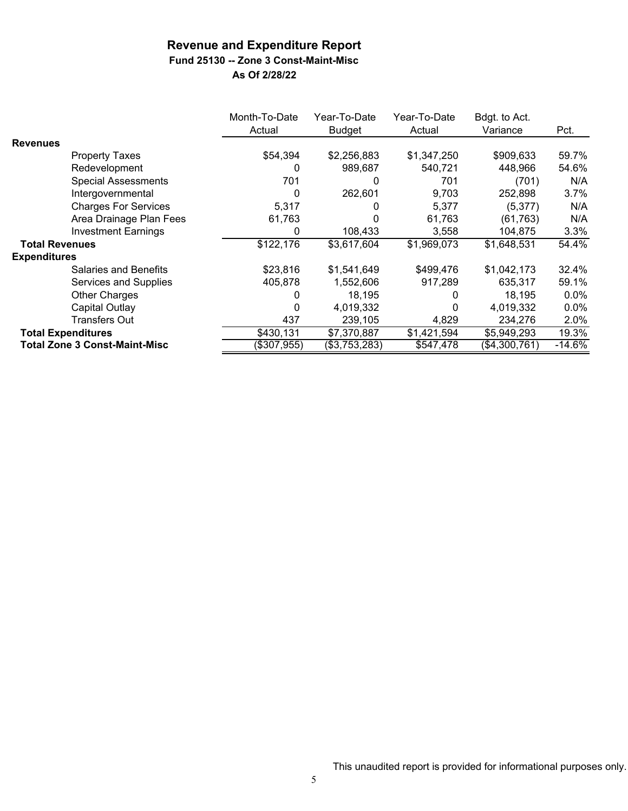## **Fund 25130 -- Zone 3 Const-Maint-Misc**

|                       |                                      | Month-To-Date<br>Actual | Year-To-Date<br><b>Budget</b> | Year-To-Date<br>Actual | Bdgt. to Act.<br>Variance | Pct.     |
|-----------------------|--------------------------------------|-------------------------|-------------------------------|------------------------|---------------------------|----------|
| <b>Revenues</b>       |                                      |                         |                               |                        |                           |          |
|                       | <b>Property Taxes</b>                | \$54,394                | \$2,256,883                   | \$1,347,250            | \$909,633                 | 59.7%    |
|                       | Redevelopment                        | 0                       | 989,687                       | 540,721                | 448,966                   | 54.6%    |
|                       | <b>Special Assessments</b>           | 701                     | 0                             | 701                    | (701)                     | N/A      |
|                       | Intergovernmental                    | 0                       | 262,601                       | 9,703                  | 252,898                   | 3.7%     |
|                       | <b>Charges For Services</b>          | 5,317                   | 0                             | 5,377                  | (5,377)                   | N/A      |
|                       | Area Drainage Plan Fees              | 61,763                  | 0                             | 61,763                 | (61, 763)                 | N/A      |
|                       | <b>Investment Earnings</b>           | O                       | 108,433                       | 3,558                  | 104,875                   | 3.3%     |
| <b>Total Revenues</b> |                                      | \$122,176               | \$3,617,604                   | \$1,969,073            | \$1,648,531               | 54.4%    |
| <b>Expenditures</b>   |                                      |                         |                               |                        |                           |          |
|                       | <b>Salaries and Benefits</b>         | \$23,816                | \$1,541,649                   | \$499,476              | \$1,042,173               | 32.4%    |
|                       | Services and Supplies                | 405,878                 | 1,552,606                     | 917,289                | 635,317                   | 59.1%    |
|                       | Other Charges                        |                         | 18,195                        | 0                      | 18,195                    | $0.0\%$  |
|                       | Capital Outlay                       | 0                       | 4,019,332                     | 0                      | 4,019,332                 | 0.0%     |
|                       | <b>Transfers Out</b>                 | 437                     | 239,105                       | 4,829                  | 234,276                   | 2.0%     |
|                       | <b>Total Expenditures</b>            | \$430,131               | \$7,370,887                   | \$1,421,594            | \$5,949,293               | 19.3%    |
|                       | <b>Total Zone 3 Const-Maint-Misc</b> | (\$307,955)             | (\$3,753,283)                 | \$547,478              | (\$4,300,761)             | $-14.6%$ |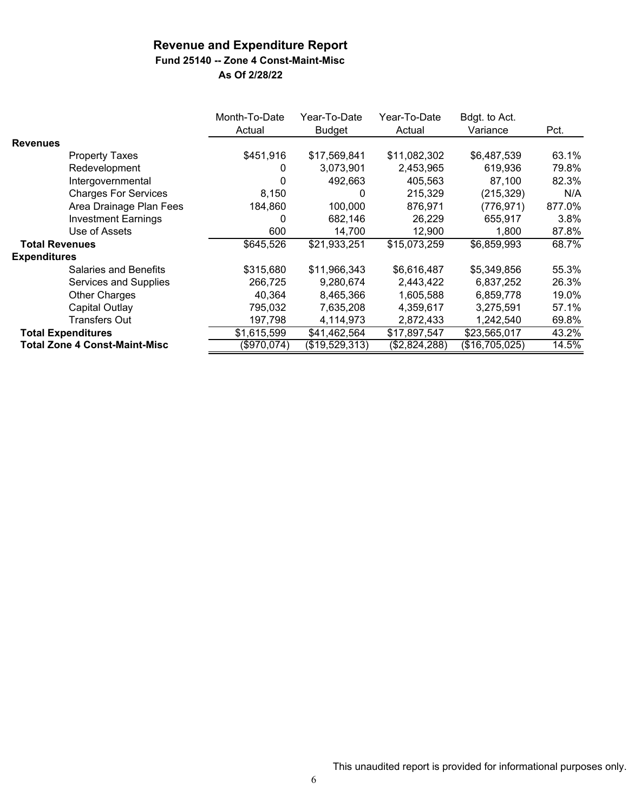## **Fund 25140 -- Zone 4 Const-Maint-Misc**

|                       |                                      | Month-To-Date<br>Actual | Year-To-Date<br><b>Budget</b> | Year-To-Date<br>Actual | Bdgt. to Act.<br>Variance | Pct.   |
|-----------------------|--------------------------------------|-------------------------|-------------------------------|------------------------|---------------------------|--------|
| <b>Revenues</b>       |                                      |                         |                               |                        |                           |        |
|                       | <b>Property Taxes</b>                | \$451,916               | \$17,569,841                  | \$11,082,302           | \$6,487,539               | 63.1%  |
|                       | Redevelopment                        | 0                       | 3,073,901                     | 2,453,965              | 619,936                   | 79.8%  |
|                       | Intergovernmental                    | 0                       | 492,663                       | 405,563                | 87,100                    | 82.3%  |
|                       | <b>Charges For Services</b>          | 8.150                   | 0                             | 215,329                | (215, 329)                | N/A    |
|                       | Area Drainage Plan Fees              | 184,860                 | 100,000                       | 876,971                | (776, 971)                | 877.0% |
|                       | <b>Investment Earnings</b>           | 0                       | 682,146                       | 26,229                 | 655,917                   | 3.8%   |
|                       | Use of Assets                        | 600                     | 14,700                        | 12,900                 | 1,800                     | 87.8%  |
| <b>Total Revenues</b> |                                      | \$645,526               | \$21,933,251                  | \$15,073,259           | \$6,859,993               | 68.7%  |
| <b>Expenditures</b>   |                                      |                         |                               |                        |                           |        |
|                       | Salaries and Benefits                | \$315,680               | \$11,966,343                  | \$6,616,487            | \$5,349,856               | 55.3%  |
|                       | Services and Supplies                | 266,725                 | 9,280,674                     | 2,443,422              | 6,837,252                 | 26.3%  |
|                       | Other Charges                        | 40,364                  | 8,465,366                     | 1,605,588              | 6,859,778                 | 19.0%  |
|                       | <b>Capital Outlay</b>                | 795,032                 | 7,635,208                     | 4,359,617              | 3,275,591                 | 57.1%  |
|                       | <b>Transfers Out</b>                 | 197,798                 | 4,114,973                     | 2,872,433              | 1,242,540                 | 69.8%  |
|                       | <b>Total Expenditures</b>            | \$1,615,599             | \$41,462,564                  | \$17,897,547           | \$23,565,017              | 43.2%  |
|                       | <b>Total Zone 4 Const-Maint-Misc</b> | (\$970,074)             | (\$19,529,313)                | (\$2,824,288)          | (\$16,705,025)            | 14.5%  |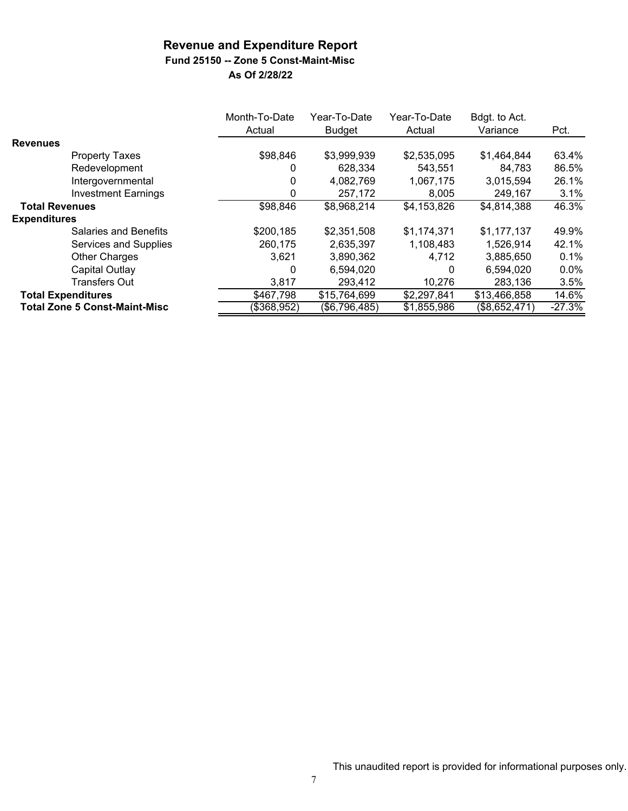# **Fund 25150 -- Zone 5 Const-Maint-Misc**

|                                      | Month-To-Date<br>Actual | Year-To-Date<br><b>Budget</b> | Year-To-Date<br>Actual | Bdgt. to Act.<br>Variance | Pct.     |
|--------------------------------------|-------------------------|-------------------------------|------------------------|---------------------------|----------|
| <b>Revenues</b>                      |                         |                               |                        |                           |          |
| <b>Property Taxes</b>                | \$98,846                | \$3,999,939                   | \$2,535,095            | \$1,464,844               | 63.4%    |
| Redevelopment                        | 0                       | 628,334                       | 543,551                | 84,783                    | 86.5%    |
| Intergovernmental                    | 0                       | 4,082,769                     | 1,067,175              | 3,015,594                 | 26.1%    |
| <b>Investment Earnings</b>           | 0                       | 257,172                       | 8,005                  | 249,167                   | 3.1%     |
| <b>Total Revenues</b>                | \$98,846                | \$8,968,214                   | \$4,153,826            | \$4,814,388               | 46.3%    |
| <b>Expenditures</b>                  |                         |                               |                        |                           |          |
| Salaries and Benefits                | \$200,185               | \$2,351,508                   | \$1,174,371            | \$1,177,137               | 49.9%    |
| Services and Supplies                | 260,175                 | 2,635,397                     | 1,108,483              | 1,526,914                 | 42.1%    |
| <b>Other Charges</b>                 | 3.621                   | 3,890,362                     | 4.712                  | 3,885,650                 | 0.1%     |
| Capital Outlay                       | 0                       | 6,594,020                     | 0                      | 6,594,020                 | $0.0\%$  |
| <b>Transfers Out</b>                 | 3,817                   | 293,412                       | 10,276                 | 283,136                   | 3.5%     |
| <b>Total Expenditures</b>            | \$467,798               | \$15,764,699                  | \$2,297,841            | \$13,466,858              | 14.6%    |
| <b>Total Zone 5 Const-Maint-Misc</b> | (\$368,952)             | (\$6,796,485)                 | \$1,855,986            | (\$8,652,471)             | $-27.3%$ |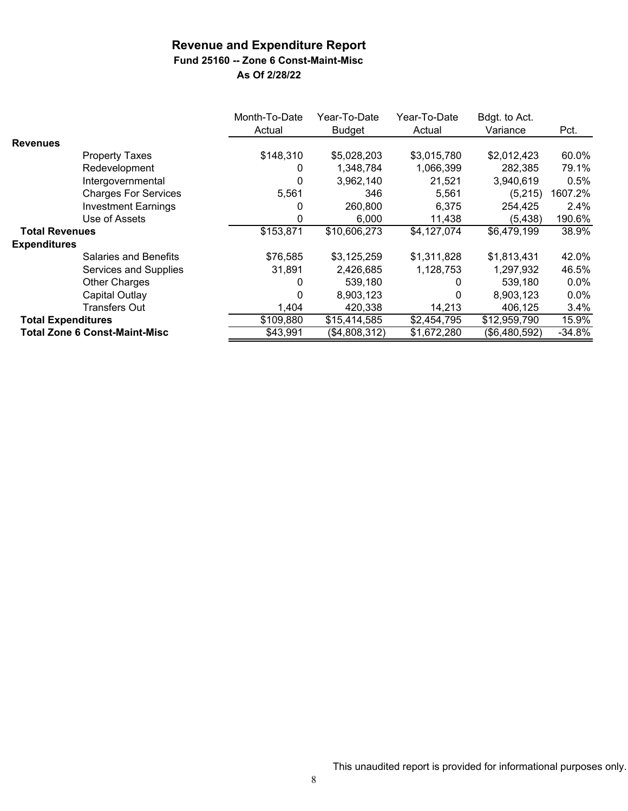**Fund 25160 -- Zone 6 Const-Maint-Misc**

|                           |                                      | Month-To-Date | Year-To-Date  | Year-To-Date | Bdgt. to Act. |          |
|---------------------------|--------------------------------------|---------------|---------------|--------------|---------------|----------|
|                           |                                      | Actual        | <b>Budget</b> | Actual       | Variance      | Pct.     |
| <b>Revenues</b>           |                                      |               |               |              |               |          |
|                           | <b>Property Taxes</b>                | \$148,310     | \$5,028,203   | \$3,015,780  | \$2,012,423   | 60.0%    |
|                           | Redevelopment                        | 0             | 1,348,784     | 1,066,399    | 282,385       | 79.1%    |
|                           | Intergovernmental                    | 0             | 3,962,140     | 21,521       | 3,940,619     | 0.5%     |
|                           | <b>Charges For Services</b>          | 5,561         | 346           | 5,561        | (5, 215)      | 1607.2%  |
|                           | <b>Investment Earnings</b>           | 0             | 260,800       | 6,375        | 254,425       | 2.4%     |
|                           | Use of Assets                        | 0             | 6,000         | 11,438       | (5, 438)      | 190.6%   |
| <b>Total Revenues</b>     |                                      | \$153,871     | \$10,606,273  | \$4,127,074  | \$6,479,199   | 38.9%    |
| <b>Expenditures</b>       |                                      |               |               |              |               |          |
|                           | <b>Salaries and Benefits</b>         | \$76,585      | \$3,125,259   | \$1,311,828  | \$1,813,431   | 42.0%    |
|                           | Services and Supplies                | 31,891        | 2,426,685     | 1,128,753    | 1,297,932     | 46.5%    |
|                           | <b>Other Charges</b>                 | 0             | 539.180       | 0            | 539,180       | $0.0\%$  |
|                           | Capital Outlay                       | 0             | 8,903,123     | O            | 8,903,123     | $0.0\%$  |
|                           | Transfers Out                        | 1,404         | 420,338       | 14,213       | 406.125       | 3.4%     |
| <b>Total Expenditures</b> |                                      | \$109,880     | \$15,414,585  | \$2,454,795  | \$12,959,790  | 15.9%    |
|                           | <b>Total Zone 6 Const-Maint-Misc</b> | \$43,991      | (\$4,808,312) | \$1,672,280  | (\$6,480,592) | $-34.8%$ |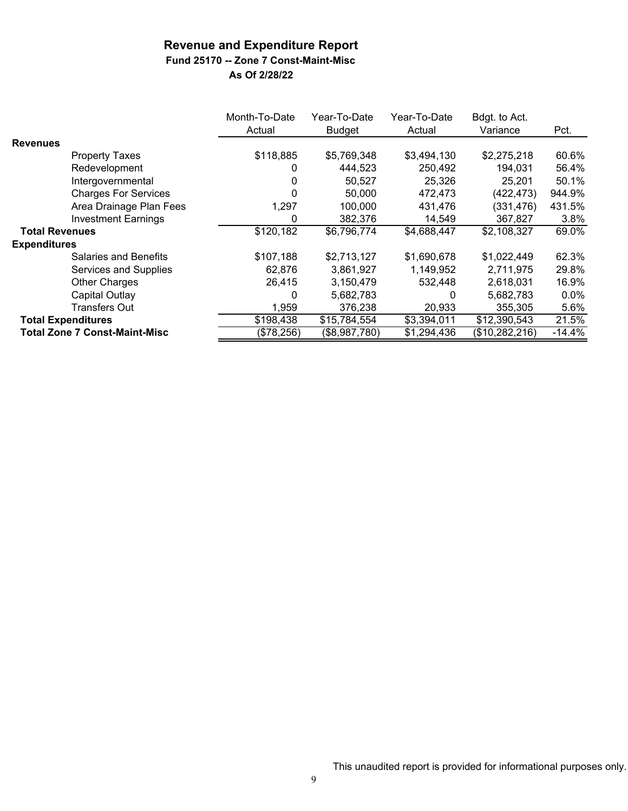### **Fund 25170 -- Zone 7 Const-Maint-Misc**

|                       |                                      | Month-To-Date<br>Actual | Year-To-Date<br><b>Budget</b> | Year-To-Date<br>Actual | Bdgt. to Act.<br>Variance | Pct.     |
|-----------------------|--------------------------------------|-------------------------|-------------------------------|------------------------|---------------------------|----------|
| <b>Revenues</b>       |                                      |                         |                               |                        |                           |          |
|                       | <b>Property Taxes</b>                | \$118,885               | \$5,769,348                   | \$3,494,130            | \$2,275,218               | 60.6%    |
|                       | Redevelopment                        | 0                       | 444,523                       | 250,492                | 194,031                   | 56.4%    |
|                       | Intergovernmental                    | 0                       | 50,527                        | 25,326                 | 25,201                    | 50.1%    |
|                       | <b>Charges For Services</b>          | 0                       | 50,000                        | 472,473                | (422, 473)                | 944.9%   |
|                       | Area Drainage Plan Fees              | 1,297                   | 100,000                       | 431,476                | (331, 476)                | 431.5%   |
|                       | <b>Investment Earnings</b>           | 0                       | 382,376                       | 14,549                 | 367,827                   | 3.8%     |
| <b>Total Revenues</b> |                                      | \$120,182               | \$6,796,774                   | \$4,688,447            | \$2,108,327               | 69.0%    |
| <b>Expenditures</b>   |                                      |                         |                               |                        |                           |          |
|                       | <b>Salaries and Benefits</b>         | \$107,188               | \$2,713,127                   | \$1,690,678            | \$1,022,449               | 62.3%    |
|                       | Services and Supplies                | 62,876                  | 3,861,927                     | 1,149,952              | 2,711,975                 | 29.8%    |
|                       | <b>Other Charges</b>                 | 26,415                  | 3,150,479                     | 532,448                | 2,618,031                 | 16.9%    |
|                       | Capital Outlay                       | 0                       | 5,682,783                     | 0                      | 5,682,783                 | 0.0%     |
|                       | <b>Transfers Out</b>                 | 1,959                   | 376,238                       | 20,933                 | 355,305                   | 5.6%     |
|                       | <b>Total Expenditures</b>            | \$198,438               | \$15,784,554                  | \$3,394,011            | \$12,390,543              | 21.5%    |
|                       | <b>Total Zone 7 Const-Maint-Misc</b> | (\$78,256)              | (\$8,987,780)                 | \$1,294,436            | (\$10,282,216)            | $-14.4%$ |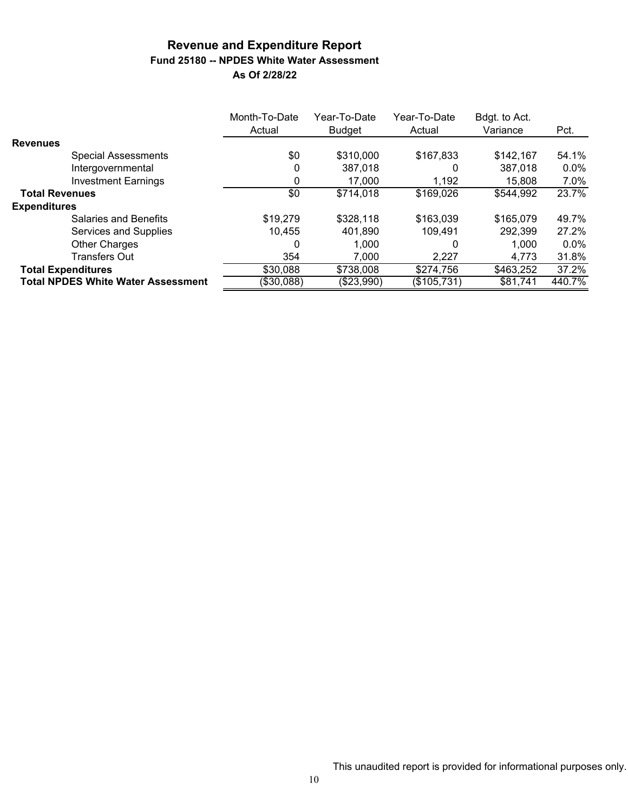# **Revenue and Expenditure Report Fund 25180 -- NPDES White Water Assessment**

| As Of 2/28/22 |  |  |  |
|---------------|--|--|--|
|---------------|--|--|--|

|                                           | Month-To-Date<br>Actual | Year-To-Date<br><b>Budget</b> | Year-To-Date<br>Actual | Bdgt. to Act.<br>Variance | Pct.    |
|-------------------------------------------|-------------------------|-------------------------------|------------------------|---------------------------|---------|
| <b>Revenues</b>                           |                         |                               |                        |                           |         |
| <b>Special Assessments</b>                | \$0                     | \$310,000                     | \$167,833              | \$142,167                 | 54.1%   |
| Intergovernmental                         | 0                       | 387,018                       | O                      | 387,018                   | $0.0\%$ |
| <b>Investment Earnings</b>                | 0                       | 17,000                        | 1,192                  | 15,808                    | 7.0%    |
| <b>Total Revenues</b>                     | \$0                     | \$714,018                     | \$169,026              | \$544,992                 | 23.7%   |
| <b>Expenditures</b>                       |                         |                               |                        |                           |         |
| Salaries and Benefits                     | \$19,279                | \$328,118                     | \$163,039              | \$165,079                 | 49.7%   |
| Services and Supplies                     | 10.455                  | 401,890                       | 109,491                | 292,399                   | 27.2%   |
| <b>Other Charges</b>                      | 0                       | 1,000                         | 0                      | 1.000                     | $0.0\%$ |
| <b>Transfers Out</b>                      | 354                     | 7,000                         | 2,227                  | 4,773                     | 31.8%   |
| <b>Total Expenditures</b>                 | \$30,088                | \$738,008                     | \$274,756              | \$463,252                 | 37.2%   |
| <b>Total NPDES White Water Assessment</b> | (\$30,088)              | (\$23,990)                    | $(\$105,731)$          | \$81,741                  | 440.7%  |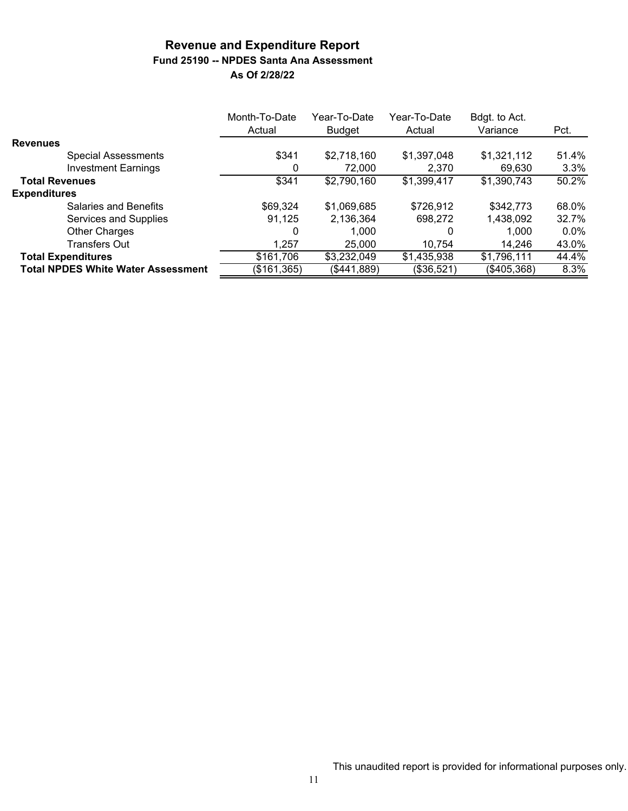### **Revenue and Expenditure Report Fund 25190 -- NPDES Santa Ana Assessment As Of 2/28/22**

|                                           | Month-To-Date<br>Actual | Year-To-Date<br><b>Budget</b> | Year-To-Date<br>Actual | Bdgt. to Act.<br>Variance | Pct.    |
|-------------------------------------------|-------------------------|-------------------------------|------------------------|---------------------------|---------|
| <b>Revenues</b>                           |                         |                               |                        |                           |         |
| <b>Special Assessments</b>                | \$341                   | \$2,718,160                   | \$1,397,048            | \$1,321,112               | 51.4%   |
| <b>Investment Earnings</b>                | 0                       | 72,000                        | 2.370                  | 69,630                    | 3.3%    |
| <b>Total Revenues</b>                     | \$341                   | \$2,790,160                   | \$1,399,417            | \$1,390,743               | 50.2%   |
| <b>Expenditures</b>                       |                         |                               |                        |                           |         |
| Salaries and Benefits                     | \$69,324                | \$1,069,685                   | \$726,912              | \$342,773                 | 68.0%   |
| Services and Supplies                     | 91.125                  | 2,136,364                     | 698,272                | 1,438,092                 | 32.7%   |
| <b>Other Charges</b>                      | 0                       | 1.000                         |                        | 1,000                     | $0.0\%$ |
| <b>Transfers Out</b>                      | 1.257                   | 25,000                        | 10.754                 | 14,246                    | 43.0%   |
| <b>Total Expenditures</b>                 | \$161,706               | \$3,232,049                   | \$1,435,938            | \$1,796,111               | 44.4%   |
| <b>Total NPDES White Water Assessment</b> | (\$161,365)             | (\$441,889)                   | (\$36,521)             | (\$405,368)               | 8.3%    |